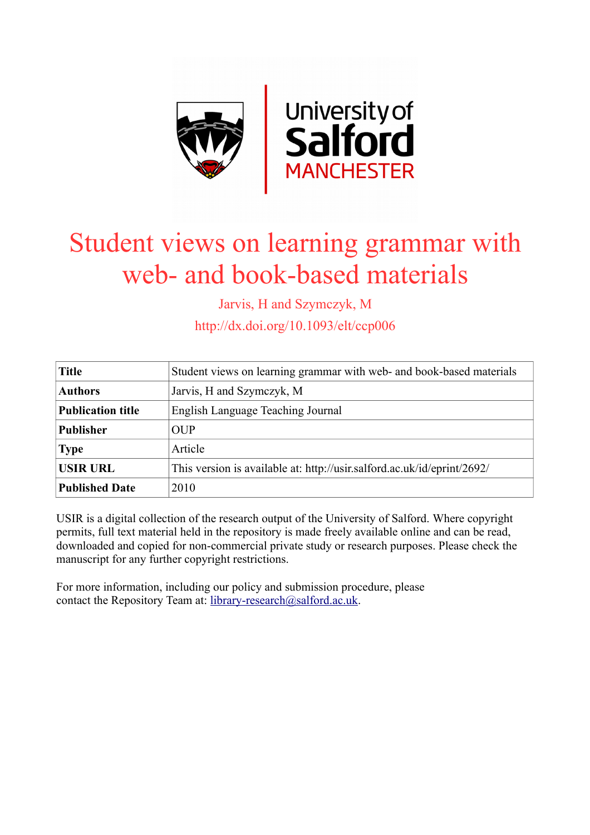

# Student views on learning grammar with web- and book-based materials

Jarvis, H and Szymczyk, M

http://dx.doi.org/10.1093/elt/ccp006

| <b>Title</b>             | Student views on learning grammar with web- and book-based materials    |
|--------------------------|-------------------------------------------------------------------------|
| <b>Authors</b>           | Jarvis, H and Szymczyk, M                                               |
| <b>Publication title</b> | English Language Teaching Journal                                       |
| <b>Publisher</b>         | <b>OUP</b>                                                              |
| <b>Type</b>              | Article                                                                 |
| <b>USIR URL</b>          | This version is available at: http://usir.salford.ac.uk/id/eprint/2692/ |
| <b>Published Date</b>    | 2010                                                                    |

USIR is a digital collection of the research output of the University of Salford. Where copyright permits, full text material held in the repository is made freely available online and can be read, downloaded and copied for non-commercial private study or research purposes. Please check the manuscript for any further copyright restrictions.

For more information, including our policy and submission procedure, please contact the Repository Team at: [library-research@salford.ac.uk.](mailto:library-research@salford.ac.uk)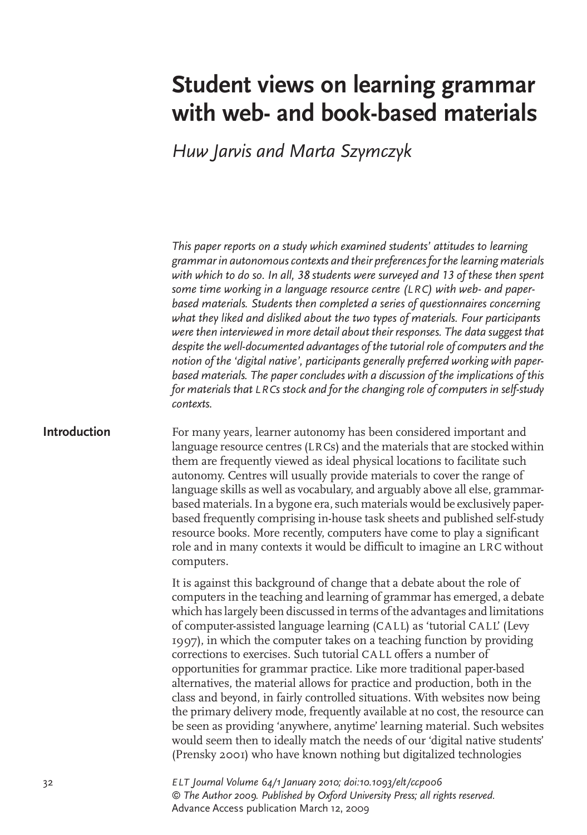## Student views on learning grammar with web- and book-based materials

Huw Jarvis and Marta Szymczyk

This paper reports on a study which examined students' attitudes to learning grammar in autonomous contexts and their preferences for the learning materials with which to do so. In all, 38 students were surveyed and 13 of these then spent some time working in a language resource centre (LRC) with web- and paperbased materials. Students then completed a series of questionnaires concerning what they liked and disliked about the two types of materials. Four participants were then interviewed in more detail about their responses. The data suggest that despite the well-documented advantages of the tutorial role of computers and the notion of the 'digital native', participants generally preferred working with paperbased materials. The paper concludes with a discussion of the implications of this for materials that LRCs stock and for the changing role of computers in self-study contexts.

Introduction For many years, learner autonomy has been considered important and language resource centres (LRCs) and the materials that are stocked within them are frequently viewed as ideal physical locations to facilitate such autonomy. Centres will usually provide materials to cover the range of language skills as well as vocabulary, and arguably above all else, grammarbased materials. In a bygone era, such materials would be exclusively paperbased frequently comprising in-house task sheets and published self-study resource books. More recently, computers have come to play a significant role and in many contexts it would be difficult to imagine an LRC without computers.

> It is against this background of change that a debate about the role of computers in the teaching and learning of grammar has emerged, a debate which has largely been discussed in terms of the advantages and limitations of computer-assisted language learning (CALL) as 'tutorial CALL' (Levy 1997), in which the computer takes on a teaching function by providing corrections to exercises. Such tutorial CALL offers a number of opportunities for grammar practice. Like more traditional paper-based alternatives, the material allows for practice and production, both in the class and beyond, in fairly controlled situations. With websites now being the primary delivery mode, frequently available at no cost, the resource can be seen as providing 'anywhere, anytime' learning material. Such websites would seem then to ideally match the needs of our 'digital native students' (Prensky 2001) who have known nothing but digitalized technologies

32 ELT Journal Volume 64/1 January 2010; doi:10.1093/elt/ccp006 © The Author 2009. Published by Oxford University Press; all rights reserved. Advance Access publication March 12, 2009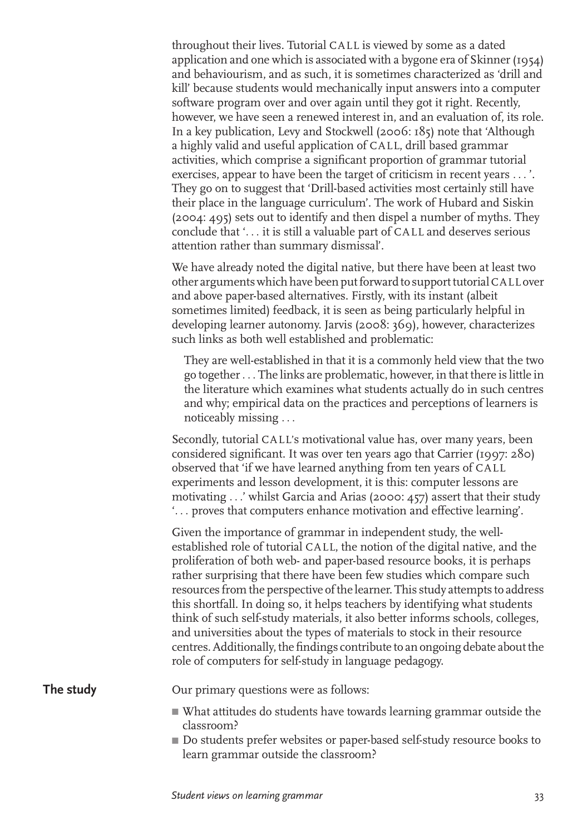| throughout their lives. Tutorial CALL is viewed by some as a dated           |
|------------------------------------------------------------------------------|
| application and one which is associated with a bygone era of Skinner (1954)  |
| and behaviourism, and as such, it is sometimes characterized as 'drill and   |
| kill' because students would mechanically input answers into a computer      |
| software program over and over again until they got it right. Recently,      |
| however, we have seen a renewed interest in, and an evaluation of, its role. |
| In a key publication, Levy and Stockwell (2006: 185) note that 'Although     |
| a highly valid and useful application of CALL, drill based grammar           |
| activities, which comprise a significant proportion of grammar tutorial      |
| exercises, appear to have been the target of criticism in recent years '.    |
| They go on to suggest that 'Drill-based activities most certainly still have |
| their place in the language curriculum'. The work of Hubard and Siskin       |
| (2004: 495) sets out to identify and then dispel a number of myths. They     |
| conclude that ' it is still a valuable part of CALL and deserves serious     |
| attention rather than summary dismissal'.                                    |
|                                                                              |

We have already noted the digital native, but there have been at least two other arguments which have been put forward to support tutorialCALL over and above paper-based alternatives. Firstly, with its instant (albeit sometimes limited) feedback, it is seen as being particularly helpful in developing learner autonomy. Jarvis (2008: 369), however, characterizes such links as both well established and problematic:

They are well-established in that it is a commonly held view that the two go together... The links are problematic, however, in that there is little in the literature which examines what students actually do in such centres and why; empirical data on the practices and perceptions of learners is noticeably missing ...

Secondly, tutorial CALL's motivational value has, over many years, been considered significant. It was over ten years ago that Carrier (1997: 280) observed that 'if we have learned anything from ten years of CALL experiments and lesson development, it is this: computer lessons are motivating ...' whilst Garcia and Arias (2000: 457) assert that their study '... proves that computers enhance motivation and effective learning'.

Given the importance of grammar in independent study, the wellestablished role of tutorial CALL, the notion of the digital native, and the proliferation of both web- and paper-based resource books, it is perhaps rather surprising that there have been few studies which compare such resources from the perspective of the learner. This study attempts to address this shortfall. In doing so, it helps teachers by identifying what students think of such self-study materials, it also better informs schools, colleges, and universities about the types of materials to stock in their resource centres. Additionally, the findings contribute to an ongoing debate about the role of computers for self-study in language pedagogy.

**The study C** Our primary questions were as follows:

- n What attitudes do students have towards learning grammar outside the classroom?
- n Do students prefer websites or paper-based self-study resource books to learn grammar outside the classroom?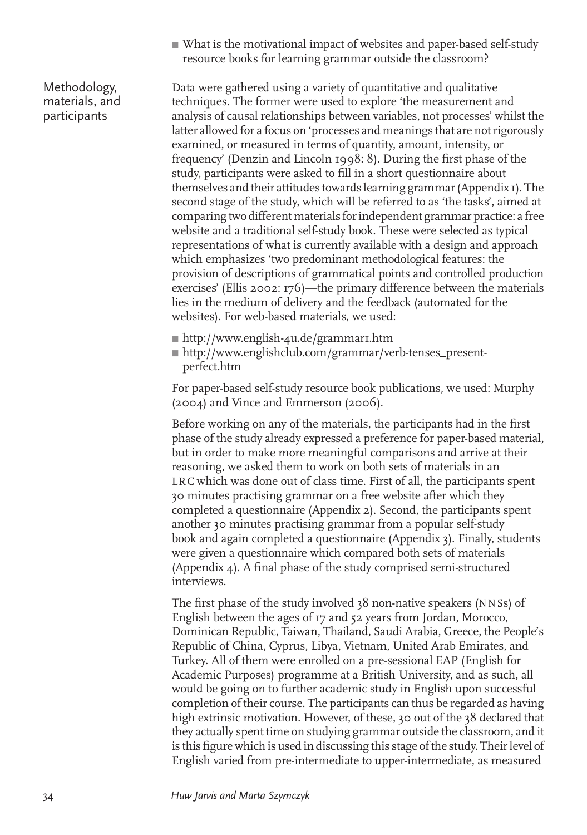■ What is the motivational impact of websites and paper-based self-study resource books for learning grammar outside the classroom?

### Methodology, materials, and participants

Data were gathered using a variety of quantitative and qualitative techniques. The former were used to explore 'the measurement and analysis of causal relationships between variables, not processes' whilst the latter allowed for a focus on 'processes and meanings that are not rigorously examined, or measured in terms of quantity, amount, intensity, or frequency' (Denzin and Lincoln 1998: 8). During the first phase of the study, participants were asked to fill in a short questionnaire about themselves and their attitudes towards learning grammar (Appendix 1). The second stage of the study, which will be referred to as 'the tasks', aimed at comparing two different materials for independent grammar practice: a free website and a traditional self-study book. These were selected as typical representations of what is currently available with a design and approach which emphasizes 'two predominant methodological features: the provision of descriptions of grammatical points and controlled production exercises' (Ellis 2002: 176)—the primary difference between the materials lies in the medium of delivery and the feedback (automated for the websites). For web-based materials, we used:

- $\blacksquare$  http://www.english-4u.de/grammari.htm
- n [http://www.englishclub.com/grammar/verb-tenses\\_present](http://www.englishclub.com/grammar/verb-tenses_present-perfect.htm)[perfect.htm](http://www.englishclub.com/grammar/verb-tenses_present-perfect.htm)

For paper-based self-study resource book publications, we used: Murphy (2004) and Vince and Emmerson (2006).

Before working on any of the materials, the participants had in the first phase of the study already expressed a preference for paper-based material, but in order to make more meaningful comparisons and arrive at their reasoning, we asked them to work on both sets of materials in an LRC which was done out of class time. First of all, the participants spent 30 minutes practising grammar on a free website after which they completed a questionnaire (Appendix 2). Second, the participants spent another 30 minutes practising grammar from a popular self-study book and again completed a questionnaire (Appendix 3). Finally, students were given a questionnaire which compared both sets of materials (Appendix 4). A final phase of the study comprised semi-structured interviews.

The first phase of the study involved 38 non-native speakers (NNSs) of English between the ages of 17 and 52 years from Jordan, Morocco, Dominican Republic, Taiwan, Thailand, Saudi Arabia, Greece, the People's Republic of China, Cyprus, Libya, Vietnam, United Arab Emirates, and Turkey. All of them were enrolled on a pre-sessional EAP (English for Academic Purposes) programme at a British University, and as such, all would be going on to further academic study in English upon successful completion of their course. The participants can thus be regarded as having high extrinsic motivation. However, of these, 30 out of the 38 declared that they actually spent time on studying grammar outside the classroom, and it is this figure which is used in discussing this stage of the study. Their level of English varied from pre-intermediate to upper-intermediate, as measured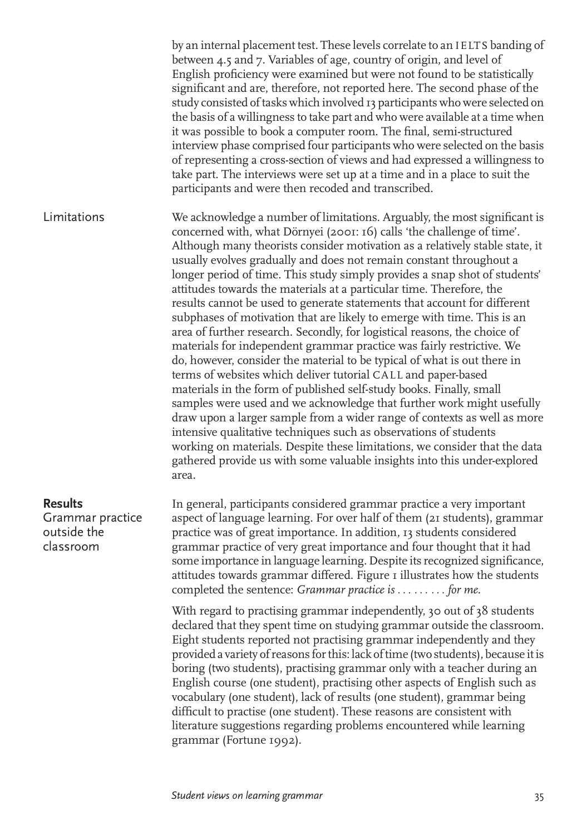by an internal placement test. These levels correlate to an IELTS banding of between 4.5 and 7. Variables of age, country of origin, and level of English proficiency were examined but were not found to be statistically significant and are, therefore, not reported here. The second phase of the study consisted of tasks which involved 13 participants who were selected on the basis of a willingness to take part and who were available at a time when it was possible to book a computer room. The final, semi-structured interview phase comprised four participants who were selected on the basis of representing a cross-section of views and had expressed a willingness to take part. The interviews were set up at a time and in a place to suit the participants and were then recoded and transcribed. Limitations We acknowledge a number of limitations. Arguably, the most significant is concerned with, what Dörnyei (2001: 16) calls 'the challenge of time'. Although many theorists consider motivation as a relatively stable state, it usually evolves gradually and does not remain constant throughout a longer period of time. This study simply provides a snap shot of students' attitudes towards the materials at a particular time. Therefore, the results cannot be used to generate statements that account for different subphases of motivation that are likely to emerge with time. This is an area of further research. Secondly, for logistical reasons, the choice of materials for independent grammar practice was fairly restrictive. We do, however, consider the material to be typical of what is out there in terms of websites which deliver tutorial CALL and paper-based materials in the form of published self-study books. Finally, small samples were used and we acknowledge that further work might usefully draw upon a larger sample from a wider range of contexts as well as more intensive qualitative techniques such as observations of students working on materials. Despite these limitations, we consider that the data gathered provide us with some valuable insights into this under-explored area. **Results** Grammar practice outside the classroom In general, participants considered grammar practice a very important aspect of language learning. For over half of them (21 students), grammar practice was of great importance. In addition, 13 students considered grammar practice of very great importance and four thought that it had some importance in language learning. Despite its recognized significance, attitudes towards grammar differed. Figure I illustrates how the students completed the sentence: Grammar practice is ......... for me. With regard to practising grammar independently, 30 out of 38 students declared that they spent time on studying grammar outside the classroom. Eight students reported not practising grammar independently and they provided a variety of reasons for this: lack of time (two students), because itis boring (two students), practising grammar only with a teacher during an English course (one student), practising other aspects of English such as vocabulary (one student), lack of results (one student), grammar being difficult to practise (one student). These reasons are consistent with literature suggestions regarding problems encountered while learning grammar (Fortune 1992).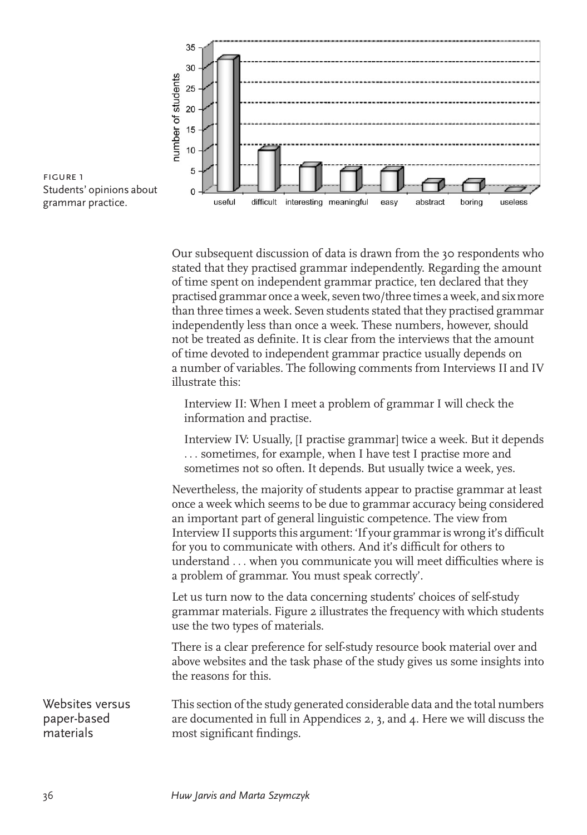



Our subsequent discussion of data is drawn from the 30 respondents who stated that they practised grammar independently. Regarding the amount of time spent on independent grammar practice, ten declared that they practised grammar once a week, seven two/three times a week, and sixmore than three times a week. Seven students stated that they practised grammar independently less than once a week. These numbers, however, should not be treated as definite. It is clear from the interviews that the amount of time devoted to independent grammar practice usually depends on a number of variables. The following comments from Interviews II and IV illustrate this:

Interview II: When I meet a problem of grammar I will check the information and practise.

Interview IV: Usually, [I practise grammar] twice a week. But it depends ... sometimes, for example, when I have test I practise more and sometimes not so often. It depends. But usually twice a week, yes.

Nevertheless, the majority of students appear to practise grammar at least once a week which seems to be due to grammar accuracy being considered an important part of general linguistic competence. The view from Interview II supports this argument: 'If your grammar is wrong it's difficult for you to communicate with others. And it's difficult for others to understand ... when you communicate you will meet difficulties where is a problem of grammar. You must speak correctly'.

Let us turn now to the data concerning students' choices of self-study grammar materials. Figure 2 illustrates the frequency with which students use the two types of materials.

There is a clear preference for self-study resource book material over and above websites and the task phase of the study gives us some insights into the reasons for this.

Websites versus paper-based materials

This section of the study generated considerable data and the total numbers are documented in full in Appendices 2, 3, and 4. Here we will discuss the most significant findings.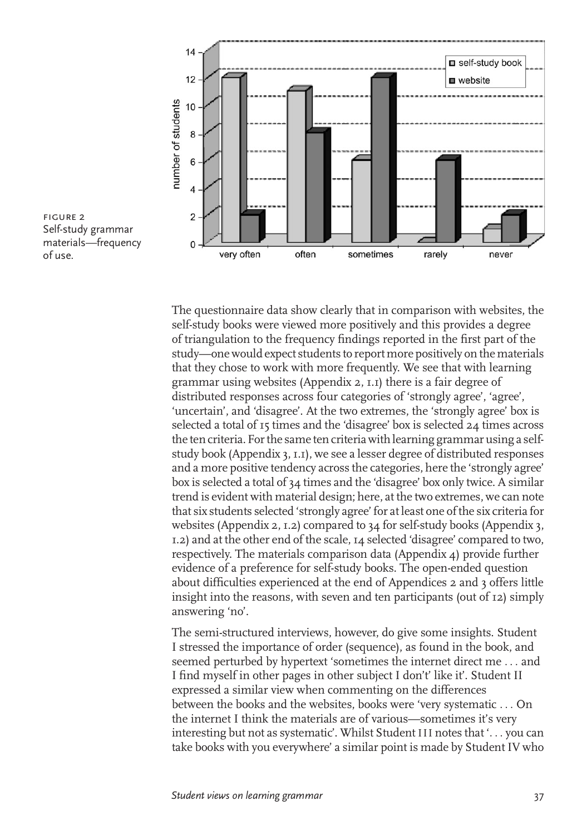

figure 2 Self-study grammar materials—frequency of use.

The questionnaire data show clearly that in comparison with websites, the self-study books were viewed more positively and this provides a degree of triangulation to the frequency findings reported in the first part of the study—one would expect students to report more positively on the materials that they chose to work with more frequently. We see that with learning grammar using websites (Appendix 2, 1.1) there is a fair degree of distributed responses across four categories of 'strongly agree', 'agree', 'uncertain', and 'disagree'. At the two extremes, the 'strongly agree' box is selected a total of 15 times and the 'disagree' box is selected 24 times across the ten criteria. For the same ten criteria with learning grammar using a selfstudy book (Appendix 3, 1.1), we see a lesser degree of distributed responses and a more positive tendency across the categories, here the 'strongly agree' box is selected a total of 34 times and the 'disagree' box only twice. A similar trend is evident with material design; here, at the two extremes, we can note that six students selected 'strongly agree' for at least one of the six criteria for websites (Appendix 2, 1.2) compared to 34 for self-study books (Appendix 3, 1.2) and at the other end of the scale, 14 selected 'disagree' compared to two, respectively. The materials comparison data (Appendix 4) provide further evidence of a preference for self-study books. The open-ended question about difficulties experienced at the end of Appendices 2 and 3 offers little insight into the reasons, with seven and ten participants (out of 12) simply answering 'no'.

The semi-structured interviews, however, do give some insights. Student I stressed the importance of order (sequence), as found in the book, and seemed perturbed by hypertext 'sometimes the internet direct me ... and I find myself in other pages in other subject I don't' like it'. Student II expressed a similar view when commenting on the differences between the books and the websites, books were 'very systematic ... On the internet I think the materials are of various—sometimes it's very interesting but not as systematic'. Whilst Student III notes that '... you can take books with you everywhere' a similar point is made by Student IV who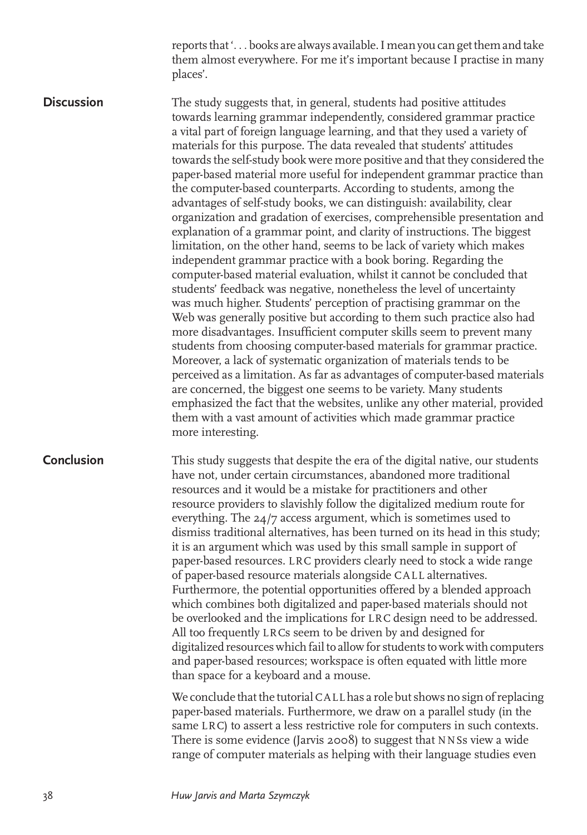reports that '... books are always available. Imean you can get them and take them almost everywhere. For me it's important because I practise in many places'.

**Discussion** The study suggests that, in general, students had positive attitudes towards learning grammar independently, considered grammar practice a vital part of foreign language learning, and that they used a variety of materials for this purpose. The data revealed that students' attitudes towards the self-study book were more positive and that they considered the paper-based material more useful for independent grammar practice than the computer-based counterparts. According to students, among the advantages of self-study books, we can distinguish: availability, clear organization and gradation of exercises, comprehensible presentation and explanation of a grammar point, and clarity of instructions. The biggest limitation, on the other hand, seems to be lack of variety which makes independent grammar practice with a book boring. Regarding the computer-based material evaluation, whilst it cannot be concluded that students' feedback was negative, nonetheless the level of uncertainty was much higher. Students' perception of practising grammar on the Web was generally positive but according to them such practice also had more disadvantages. Insufficient computer skills seem to prevent many students from choosing computer-based materials for grammar practice. Moreover, a lack of systematic organization of materials tends to be perceived as a limitation. As far as advantages of computer-based materials are concerned, the biggest one seems to be variety. Many students emphasized the fact that the websites, unlike any other material, provided them with a vast amount of activities which made grammar practice more interesting.

**Conclusion** This study suggests that despite the era of the digital native, our students have not, under certain circumstances, abandoned more traditional resources and it would be a mistake for practitioners and other resource providers to slavishly follow the digitalized medium route for everything. The 24/7 access argument, which is sometimes used to dismiss traditional alternatives, has been turned on its head in this study; it is an argument which was used by this small sample in support of paper-based resources. LRC providers clearly need to stock a wide range of paper-based resource materials alongside CALL alternatives. Furthermore, the potential opportunities offered by a blended approach which combines both digitalized and paper-based materials should not be overlooked and the implications for LRC design need to be addressed. All too frequently LRCs seem to be driven by and designed for digitalized resources which fail to allow for students to work with computers and paper-based resources; workspace is often equated with little more than space for a keyboard and a mouse.

> We conclude that the tutorial CALL has a role but shows no sign of replacing paper-based materials. Furthermore, we draw on a parallel study (in the same LRC) to assert a less restrictive role for computers in such contexts. There is some evidence (Jarvis 2008) to suggest that NNSs view a wide range of computer materials as helping with their language studies even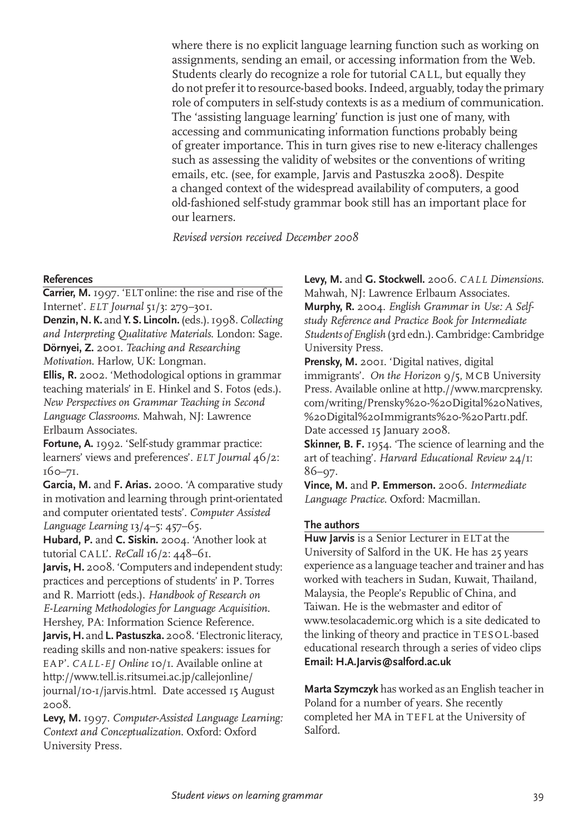where there is no explicit language learning function such as working on assignments, sending an email, or accessing information from the Web. Students clearly do recognize a role for tutorial CALL, but equally they do not prefer it to resource-based books. Indeed, arguably, today the primary role of computers in self-study contexts is as a medium of communication. The 'assisting language learning' function is just one of many, with accessing and communicating information functions probably being of greater importance. This in turn gives rise to new e-literacy challenges such as assessing the validity of websites or the conventions of writing emails, etc. (see, for example, Jarvis and Pastuszka 2008). Despite a changed context of the widespread availability of computers, a good old-fashioned self-study grammar book still has an important place for our learners.

Revised version received December 2008

#### References

Carrier, M. 1997. 'ELT online: the rise and rise of the Internet'. ELT Journal 51/3: 279-301.

Denzin, N. K. and Y. S. Lincoln. (eds.). 1998. Collecting and Interpreting Qualitative Materials. London: Sage. Dörnyei, Z. 2001. Teaching and Researching

Motivation. Harlow, UK: Longman.

Ellis, R. 2002. 'Methodological options in grammar teaching materials' in E. Hinkel and S. Fotos (eds.). New Perspectives on Grammar Teaching in Second Language Classrooms. Mahwah, NJ: Lawrence Erlbaum Associates.

Fortune, A. 1992. 'Self-study grammar practice: learners' views and preferences'. ELT Journal 46/2: 160–71.

Garcia, M. and F. Arias. 2000. 'A comparative study in motivation and learning through print-orientated and computer orientated tests'. Computer Assisted Language Learning 13/4–5: 457–65.

Hubard, P. and C. Siskin. 2004. 'Another look at tutorial CALL'. ReCall 16/2: 448–61.

Jarvis, H. 2008. 'Computers and independent study: practices and perceptions of students' in P. Torres and R. Marriott (eds.). Handbook of Research on E-Learning Methodologies for Language Acquisition. Hershey, PA: Information Science Reference.

Jarvis, H. and L. Pastuszka. 2008. 'Electronic literacy, reading skills and non-native speakers: issues for EAP'. CALL-EJ Online 10/1. Available online at [http://www.tell.is.ritsumei.ac.jp/callejonline/](http://www.tell.is.ritsumei.ac.jp/callejonline/journal/10-1/jarvis.html) [journal/10-1/jarvis.html](http://www.tell.is.ritsumei.ac.jp/callejonline/journal/10-1/jarvis.html). Date accessed 15 August 2008.

Levy, M. 1997. Computer-Assisted Language Learning: Context and Conceptualization. Oxford: Oxford University Press.

Levy, M. and G. Stockwell. 2006. CALL Dimensions. Mahwah, NJ: Lawrence Erlbaum Associates. Murphy, R. 2004. English Grammar in Use: A Selfstudy Reference and Practice Book for Intermediate Students of English (3rd edn.). Cambridge: Cambridge University Press.

Prensky, M. 2001. 'Digital natives, digital immigrants'. On the Horizon 9/5, MCB University Press. Available online at [http.//www.marcprensky.](http://www.marcprensky.com/writing/Prensky%20-%20Digital%20Natives, %20Digital%20Immigrants%20-%20Part1.pdf) [com/writing/Prensky%20-%20Digital%20Natives,](http://www.marcprensky.com/writing/Prensky%20-%20Digital%20Natives, %20Digital%20Immigrants%20-%20Part1.pdf) [%20Digital%20Immigrants%20-%20Part1.pdf.](http://www.marcprensky.com/writing/Prensky%20-%20Digital%20Natives, %20Digital%20Immigrants%20-%20Part1.pdf) Date accessed 15 January 2008.

Skinner, B. F. 1954. 'The science of learning and the art of teaching'. Harvard Educational Review 24/1: 86–97.

Vince, M. and P. Emmerson. 2006. Intermediate Language Practice. Oxford: Macmillan.

#### The authors

Huw Jarvis is a Senior Lecturer in ELT at the University of Salford in the UK. He has 25 years experience as a language teacher and trainer and has worked with teachers in Sudan, Kuwait, Thailand, Malaysia, the People's Republic of China, and Taiwan. He is the webmaster and editor of [www.tesolacademic.org](http://www.tesolacademic.org) which is a site dedicated to the linking of theory and practice in TESOL-based educational research through a series of video clips Email: H.A.Jarvis@salford.ac.uk

Marta Szymczyk has worked as an English teacher in Poland for a number of years. She recently completed her MA in TEFL at the University of Salford.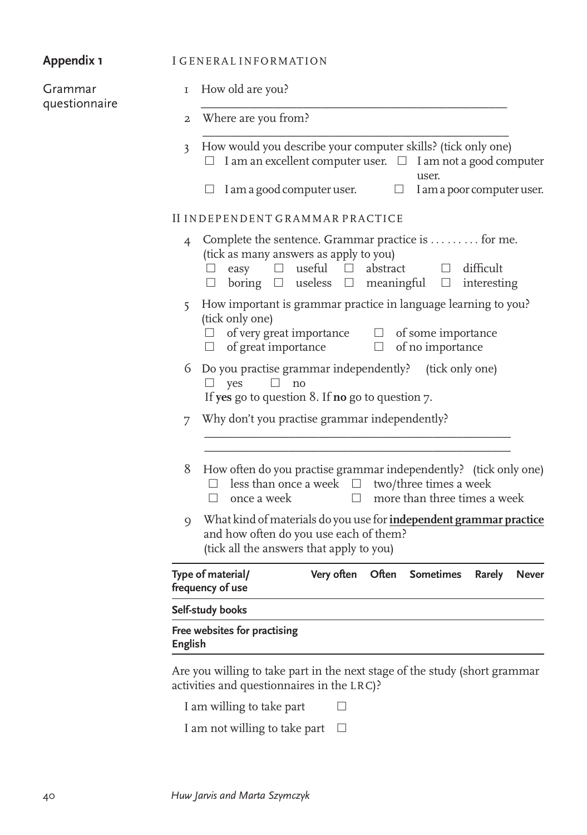| Appendix 1               | I GENERAL INFORMATION                                                                                                                                                                                                                                     |  |  |  |  |  |  |
|--------------------------|-----------------------------------------------------------------------------------------------------------------------------------------------------------------------------------------------------------------------------------------------------------|--|--|--|--|--|--|
| Grammar<br>questionnaire | How old are you?<br>I.                                                                                                                                                                                                                                    |  |  |  |  |  |  |
|                          | Where are you from?<br>2                                                                                                                                                                                                                                  |  |  |  |  |  |  |
|                          | How would you describe your computer skills? (tick only one)<br>3<br>$\Box$ I am an excellent computer user. $\Box$ I am not a good computer<br>user.                                                                                                     |  |  |  |  |  |  |
|                          | I am a good computer user.<br>I am a poor computer user.<br>⊔<br>⊔                                                                                                                                                                                        |  |  |  |  |  |  |
|                          | II INDEPENDENT GRAMMAR PRACTICE                                                                                                                                                                                                                           |  |  |  |  |  |  |
|                          | Complete the sentence. Grammar practice is  for me.<br>$\overline{4}$<br>(tick as many answers as apply to you)<br>$\Box$ easy $\Box$ useful $\Box$ abstract<br>difficult<br>$\Box$<br>boring $\Box$ useless $\Box$ meaningful $\Box$<br>interesting<br>⊔ |  |  |  |  |  |  |
|                          | How important is grammar practice in language learning to you?<br>5.<br>(tick only one)<br>$\Box$ of very great importance $\Box$ of some importance<br>$\Box$ of great importance<br>$\Box$ of no importance                                             |  |  |  |  |  |  |
|                          | 6 Do you practise grammar independently? (tick only one)<br>$\Box$ yes<br>$\Box$ no<br>If yes go to question 8. If no go to question 7.                                                                                                                   |  |  |  |  |  |  |
|                          | Why don't you practise grammar independently?<br>7                                                                                                                                                                                                        |  |  |  |  |  |  |
|                          | How often do you practise grammar independently? (tick only one)<br>8<br>$\Box$ less than once a week $\Box$ two/three times a week<br>more than three times a week<br>once a week<br>$\Box$<br>Ш                                                         |  |  |  |  |  |  |
|                          | What kind of materials do you use for independent grammar practice<br>Q.<br>and how often do you use each of them?<br>(tick all the answers that apply to you)                                                                                            |  |  |  |  |  |  |
|                          | Type of material/<br>Often<br>Sometimes<br>Very often<br>Rarely<br><b>Never</b><br>frequency of use                                                                                                                                                       |  |  |  |  |  |  |
|                          | Self-study books                                                                                                                                                                                                                                          |  |  |  |  |  |  |
|                          | Free websites for practising<br><b>English</b>                                                                                                                                                                                                            |  |  |  |  |  |  |
|                          | Are you willing to take part in the next stage of the study (short grammar<br>activities and questionnaires in the LRC)?                                                                                                                                  |  |  |  |  |  |  |
|                          | I am willing to take part                                                                                                                                                                                                                                 |  |  |  |  |  |  |

I am not willing to take part  $\hfill \Box$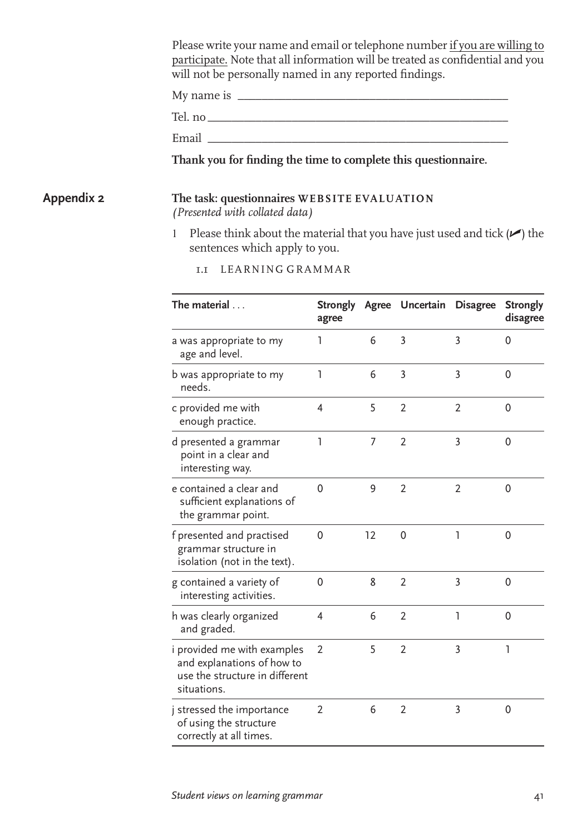Please write your name and email or telephone numberif you are willing to participate. Note that all information will be treated as confidential and you will not be personally named in any reported findings.

My name is \_\_\_\_\_\_\_\_\_\_\_\_\_\_\_\_\_\_\_\_\_\_\_\_\_\_\_\_\_\_\_\_\_\_\_\_\_\_\_\_\_\_\_\_\_

Tel. no \_\_\_\_\_\_\_\_\_\_\_\_\_\_\_\_\_\_\_\_\_\_\_\_\_\_\_\_\_\_\_\_\_\_\_\_\_\_\_\_\_\_\_\_\_\_\_\_\_\_

Email \_\_\_\_\_\_\_\_\_\_\_\_\_\_\_\_\_\_\_\_\_\_\_\_\_\_\_\_\_\_\_\_\_\_\_\_\_\_\_\_\_\_\_\_\_\_\_\_\_\_

Thank you for finding the time to complete this questionnaire.

### Appendix 2 The task: questionnaires WEBSITE EVALUATION (Presented with collated data)

- 1 Please think about the material that you have just used and tick  $(\triangleright)$  the sentences which apply to you.
	- 1.1 LEARNING GRAMMAR

| The material                                                                                               | agree          |    | Strongly Agree Uncertain Disagree |                | <b>Strongly</b><br>disagree |
|------------------------------------------------------------------------------------------------------------|----------------|----|-----------------------------------|----------------|-----------------------------|
| a was appropriate to my<br>age and level.                                                                  | 1              | 6  | 3                                 | 3              | 0                           |
| b was appropriate to my<br>needs.                                                                          | 1              | 6  | 3                                 | 3              | 0                           |
| c provided me with<br>enough practice.                                                                     | 4              | 5  | $\overline{2}$                    | $\overline{2}$ | $\Omega$                    |
| d presented a grammar<br>point in a clear and<br>interesting way.                                          | 1              | 7  | $\overline{2}$                    | 3              | $\mathbf{0}$                |
| e contained a clear and<br>sufficient explanations of<br>the grammar point.                                | 0              | 9  | $\overline{2}$                    | $\overline{2}$ | $\mathbf{0}$                |
| f presented and practised<br>grammar structure in<br>isolation (not in the text).                          | 0              | 12 | $\mathbf 0$                       | 1              | $\mathbf{0}$                |
| g contained a variety of<br>interesting activities.                                                        | 0              | 8  | $\overline{2}$                    | 3              | $\mathbf{0}$                |
| h was clearly organized<br>and graded.                                                                     | 4              | 6  | $\overline{2}$                    | 1              | 0                           |
| i provided me with examples<br>and explanations of how to<br>use the structure in different<br>situations. | <sup>2</sup>   | 5  | $\mathfrak{D}$                    | 3              | 1                           |
| j stressed the importance<br>of using the structure<br>correctly at all times.                             | $\overline{2}$ | 6  | $\overline{2}$                    | 3              | $\mathbf{0}$                |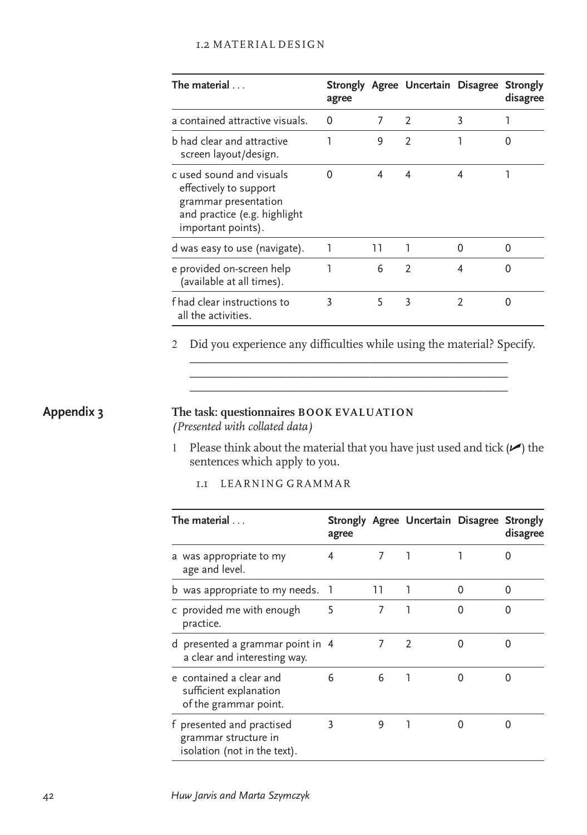#### 1.2 MATERIAL DESIGN

| The material $\dots$                                                                                                             | agree |    | Strongly Agree Uncertain Disagree Strongly |   | disagree |
|----------------------------------------------------------------------------------------------------------------------------------|-------|----|--------------------------------------------|---|----------|
| a contained attractive visuals.                                                                                                  | 0     | 7  | $\mathcal{P}$                              | 3 |          |
| b had clear and attractive<br>screen layout/design.                                                                              |       | 9  | $\mathfrak{p}$                             |   | Ω        |
| c used sound and visuals<br>effectively to support<br>grammar presentation<br>and practice (e.g. highlight<br>important points). | 0     | 4  | 4                                          | 4 |          |
| d was easy to use (navigate).                                                                                                    |       | וו |                                            | ∩ | O        |
| e provided on-screen help<br>(available at all times).                                                                           |       | 6  | $\mathfrak{p}$                             | 4 | O        |
| f had clear instructions to<br>all the activities.                                                                               | 3     | 5  | 3                                          | 2 | n        |

2 Did you experience any difficulties while using the material? Specify.  $\overline{\phantom{a}}$  , and the contribution of the contribution of  $\overline{\phantom{a}}$ 

 $\overline{\phantom{a}}$  , and the contribution of the contribution of  $\overline{\phantom{a}}$  $\overline{\phantom{a}}$  , and the contribution of the contribution of  $\overline{\phantom{a}}$ 

### Appendix 3 The task: questionnaires BOOK EVALUATION (Presented with collated data)

- 1 Please think about the material that you have just used and tick  $(\triangleright)$  the sentences which apply to you.
	- 1.1 LEARNING GRAMMAR

| The material $\dots$ |                                                                                   | agree |    | Strongly Agree Uncertain Disagree Strongly |   | disagree |
|----------------------|-----------------------------------------------------------------------------------|-------|----|--------------------------------------------|---|----------|
|                      | a was appropriate to my<br>age and level.                                         | 4     | 7  |                                            |   |          |
|                      | b was appropriate to my needs.                                                    |       | וו |                                            | 0 |          |
|                      | c provided me with enough<br>practice.                                            | 5     | 7  |                                            | O |          |
|                      | d presented a grammar point in 4<br>a clear and interesting way.                  |       | 7  | $\mathfrak z$                              | O |          |
|                      | e contained a clear and<br>sufficient explanation<br>of the grammar point.        | 6     | 6  |                                            | O |          |
|                      | f presented and practised<br>grammar structure in<br>isolation (not in the text). | 3     | 9  |                                            | O |          |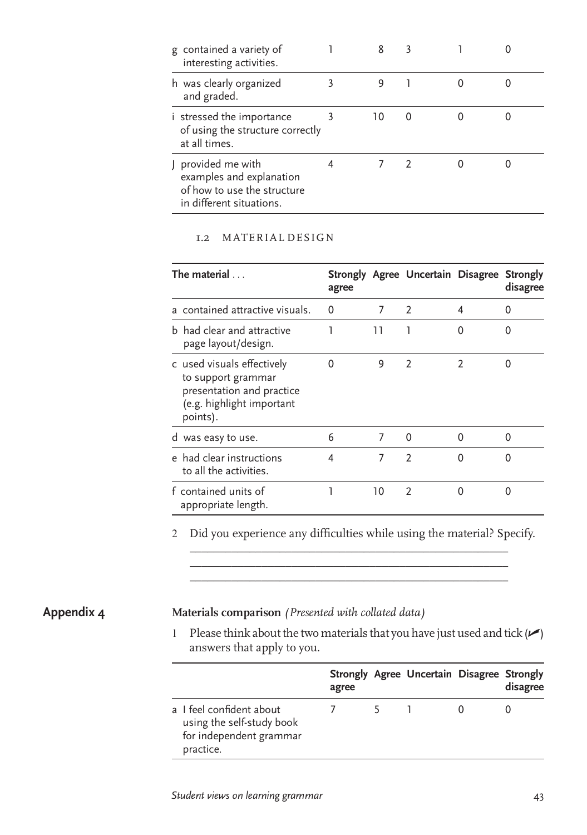| g contained a variety of<br>interesting activities.                                                     | 8  |   |  |
|---------------------------------------------------------------------------------------------------------|----|---|--|
| h was clearly organized<br>and graded.                                                                  | 9  |   |  |
| <i>i</i> stressed the importance<br>of using the structure correctly<br>at all times.                   | 10 | 0 |  |
| provided me with<br>examples and explanation<br>of how to use the structure<br>in different situations. |    | 2 |  |

### 1.2 MATERIAL DESIGN

| The material $\dots$ |                                                                                                                        | agree |    | Strongly Agree Uncertain Disagree Strongly |   | disagree      |
|----------------------|------------------------------------------------------------------------------------------------------------------------|-------|----|--------------------------------------------|---|---------------|
|                      | a contained attractive visuals.                                                                                        | 0     | 7  | $\mathcal{P}$                              | 4 | $\mathcal{L}$ |
|                      | b had clear and attractive<br>page layout/design.                                                                      | 1     | 11 |                                            | 0 | Ω             |
|                      | c used visuals effectively<br>to support grammar<br>presentation and practice<br>(e.g. highlight important<br>points). | 0     | 9  | $\mathfrak{D}$                             | 2 | $\mathcal{L}$ |
| d                    | was easy to use.                                                                                                       | 6     | 7  | 0                                          | O |               |
|                      | e had clear instructions<br>to all the activities.                                                                     | 4     | 7  | $\mathfrak z$                              | O |               |
|                      | f contained units of<br>appropriate length.                                                                            |       | 10 | $\mathfrak z$                              | O |               |

2 Did you experience any difficulties while using the material? Specify.

\_\_\_\_\_\_\_\_\_\_\_\_\_\_\_\_\_\_\_\_\_\_\_\_\_\_\_\_\_\_\_\_\_\_\_\_\_\_\_\_\_\_\_\_\_\_\_\_\_\_\_\_\_ \_\_\_\_\_\_\_\_\_\_\_\_\_\_\_\_\_\_\_\_\_\_\_\_\_\_\_\_\_\_\_\_\_\_\_\_\_\_\_\_\_\_\_\_\_\_\_\_\_\_\_\_\_

### Appendix 4 Materials comparison (Presented with collated data)

1 Please think about the two materials that you have just used and tick  $(\vee)$ answers that apply to you.

|                                                                                               | agree | Strongly Agree Uncertain Disagree Strongly | disagree |
|-----------------------------------------------------------------------------------------------|-------|--------------------------------------------|----------|
| a I feel confident about<br>using the self-study book<br>for independent grammar<br>practice. |       |                                            |          |